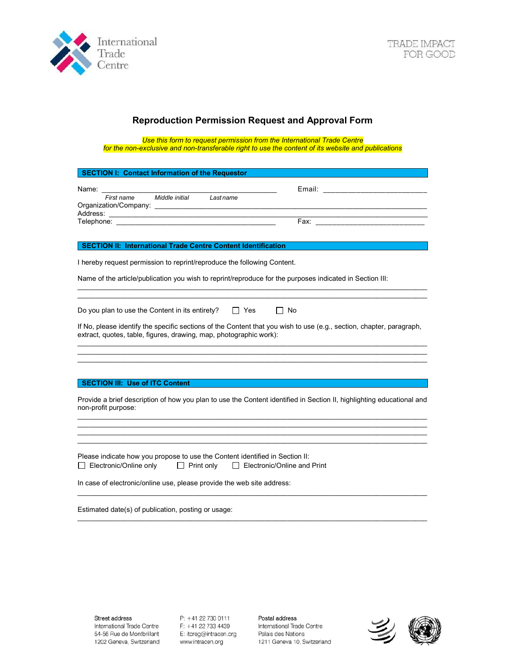

# Reproduction Permission Request and Approval Form

Use this form to request permission from the International Trade Centre for the non-exclusive and non-transferable right to use the content of its website and publications

| <b>SECTION I: Contact Information of the Requestor</b>                                                                                                                                                                                                            |
|-------------------------------------------------------------------------------------------------------------------------------------------------------------------------------------------------------------------------------------------------------------------|
| Email: ________________________<br>Name: __ <b>___</b> __                                                                                                                                                                                                         |
| Middle initial Last name<br>First name                                                                                                                                                                                                                            |
|                                                                                                                                                                                                                                                                   |
| SECTION II: International Trade Centre Content Identification                                                                                                                                                                                                     |
| I hereby request permission to reprint/reproduce the following Content.                                                                                                                                                                                           |
| Name of the article/publication you wish to reprint/reproduce for the purposes indicated in Section III:                                                                                                                                                          |
| Do you plan to use the Content in its entirety?<br>$\Box$ Yes<br>No<br>If No, please identify the specific sections of the Content that you wish to use (e.g., section, chapter, paragraph,<br>extract, quotes, table, figures, drawing, map, photographic work): |
| <b>SECTION III: Use of ITC Content</b>                                                                                                                                                                                                                            |
| Provide a brief description of how you plan to use the Content identified in Section II, highlighting educational and<br>non-profit purpose:                                                                                                                      |
|                                                                                                                                                                                                                                                                   |
| Please indicate how you propose to use the Content identified in Section II:<br>Electronic/Online only<br>$\Box$ Print only<br>$\Box$ Electronic/Online and Print                                                                                                 |
| In case of electronic/online use, please provide the web site address:                                                                                                                                                                                            |
| Estimated date(s) of publication, posting or usage:                                                                                                                                                                                                               |

 $\mathcal{L}_\text{max}$ 

P: +41 22 730 0111 F: +41 22 733 4439 E: itcreg@intracen.org www.intracen.org

Postal address International Trade Centre Palais des Nations 1211 Geneva 10, Switzerland